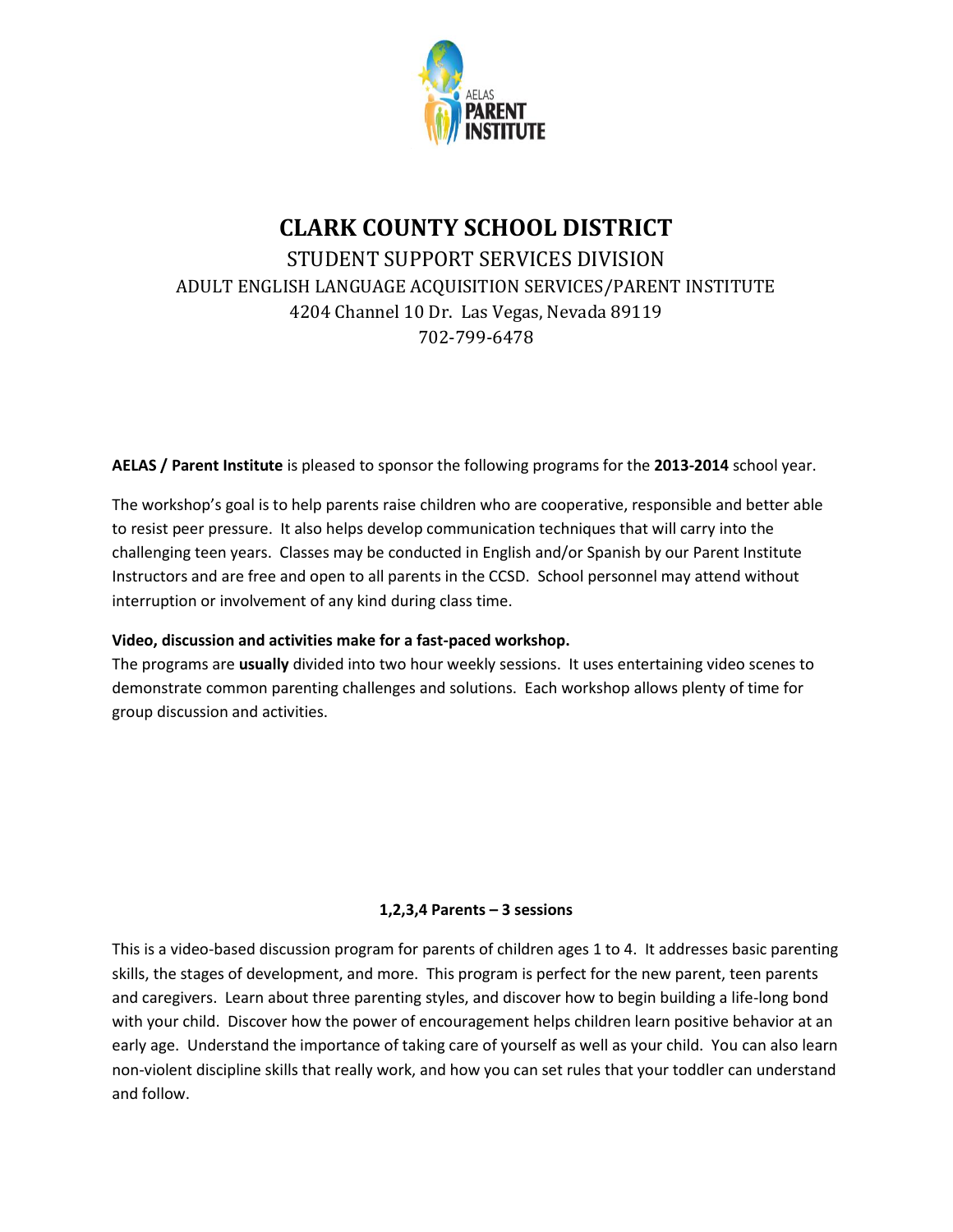

# **CLARK COUNTY SCHOOL DISTRICT** STUDENT SUPPORT SERVICES DIVISION ADULT ENGLISH LANGUAGE ACQUISITION SERVICES/PARENT INSTITUTE 4204 Channel 10 Dr. Las Vegas, Nevada 89119 702-799-6478

# **AELAS / Parent Institute** is pleased to sponsor the following programs for the **2013-2014** school year.

The workshop's goal is to help parents raise children who are cooperative, responsible and better able to resist peer pressure. It also helps develop communication techniques that will carry into the challenging teen years. Classes may be conducted in English and/or Spanish by our Parent Institute Instructors and are free and open to all parents in the CCSD. School personnel may attend without interruption or involvement of any kind during class time.

# **Video, discussion and activities make for a fast-paced workshop.**

The programs are **usually** divided into two hour weekly sessions. It uses entertaining video scenes to demonstrate common parenting challenges and solutions. Each workshop allows plenty of time for group discussion and activities.

# **1,2,3,4 Parents – 3 sessions**

This is a video-based discussion program for parents of children ages 1 to 4. It addresses basic parenting skills, the stages of development, and more. This program is perfect for the new parent, teen parents and caregivers. Learn about three parenting styles, and discover how to begin building a life-long bond with your child. Discover how the power of encouragement helps children learn positive behavior at an early age. Understand the importance of taking care of yourself as well as your child. You can also learn non-violent discipline skills that really work, and how you can set rules that your toddler can understand and follow.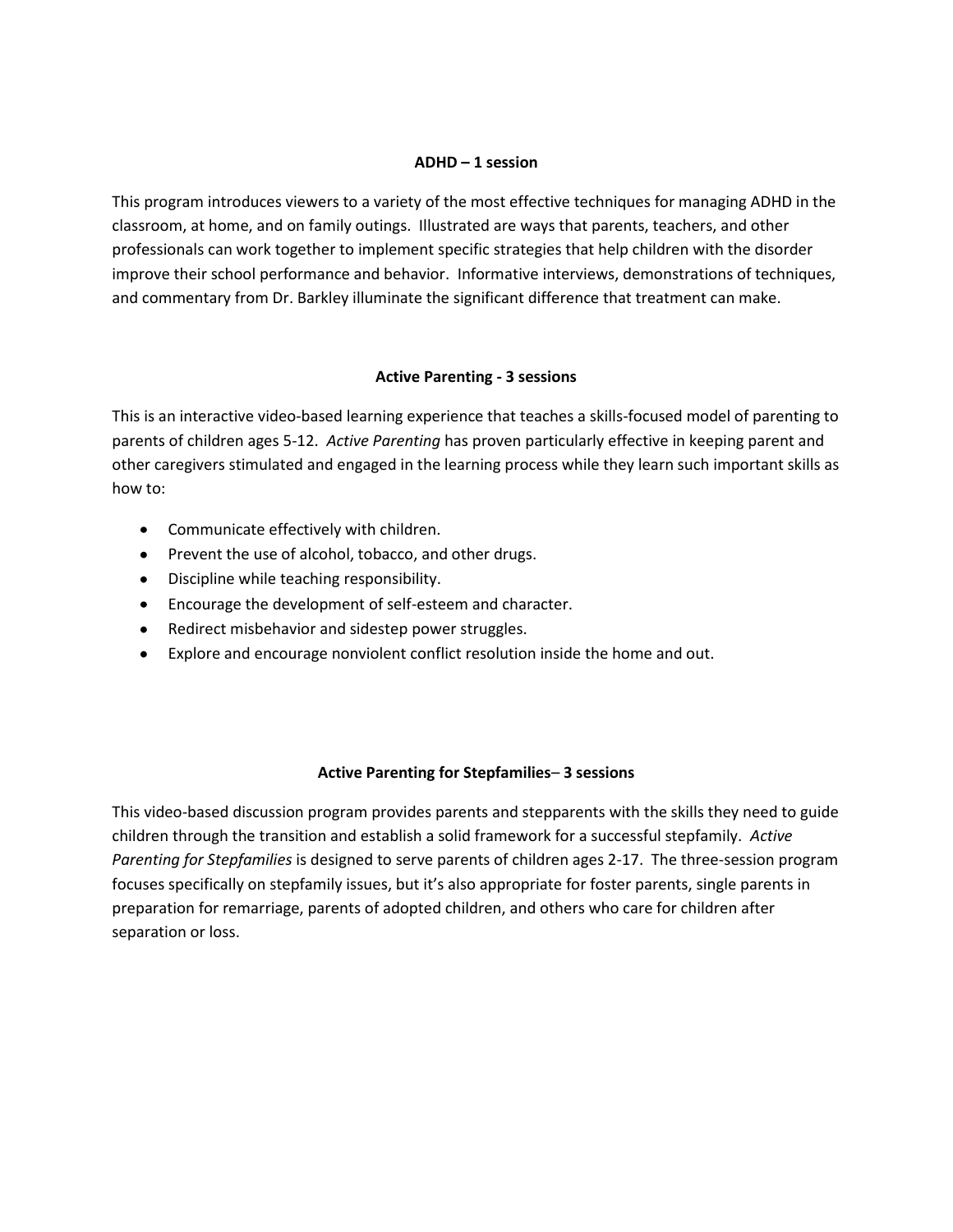#### **ADHD – 1 session**

This program introduces viewers to a variety of the most effective techniques for managing ADHD in the classroom, at home, and on family outings. Illustrated are ways that parents, teachers, and other professionals can work together to implement specific strategies that help children with the disorder improve their school performance and behavior. Informative interviews, demonstrations of techniques, and commentary from Dr. Barkley illuminate the significant difference that treatment can make.

# **Active Parenting - 3 sessions**

This is an interactive video-based learning experience that teaches a skills-focused model of parenting to parents of children ages 5-12. *Active Parenting* has proven particularly effective in keeping parent and other caregivers stimulated and engaged in the learning process while they learn such important skills as how to:

- Communicate effectively with children.
- Prevent the use of alcohol, tobacco, and other drugs.
- Discipline while teaching responsibility.
- Encourage the development of self-esteem and character.
- Redirect misbehavior and sidestep power struggles.
- Explore and encourage nonviolent conflict resolution inside the home and out.

#### **Active Parenting for Stepfamilies**– **3 sessions**

This video-based discussion program provides parents and stepparents with the skills they need to guide children through the transition and establish a solid framework for a successful stepfamily. *Active Parenting for Stepfamilies* is designed to serve parents of children ages 2-17. The three-session program focuses specifically on stepfamily issues, but it's also appropriate for foster parents, single parents in preparation for remarriage, parents of adopted children, and others who care for children after separation or loss.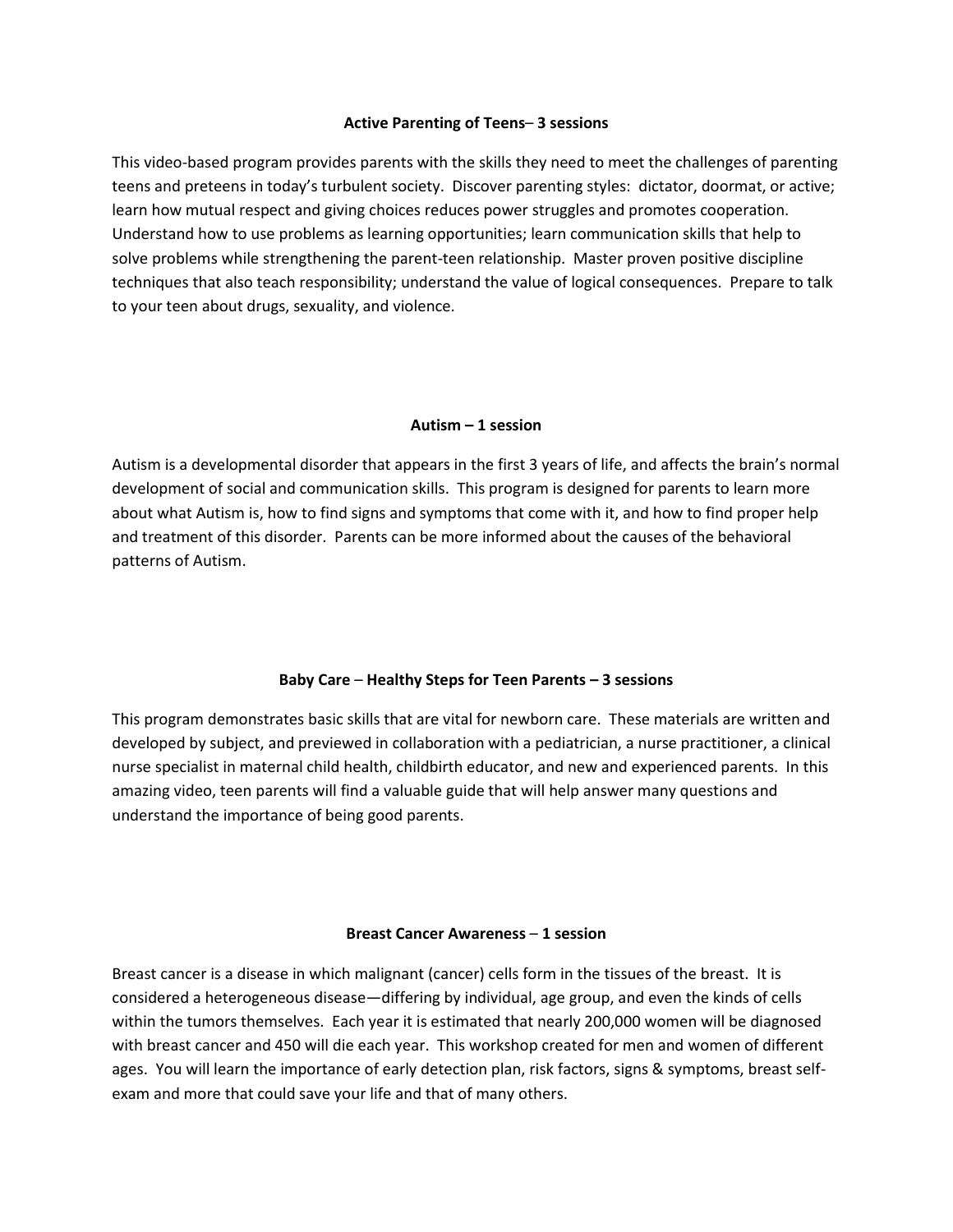#### **Active Parenting of Teens**– **3 sessions**

This video-based program provides parents with the skills they need to meet the challenges of parenting teens and preteens in today's turbulent society. Discover parenting styles: dictator, doormat, or active; learn how mutual respect and giving choices reduces power struggles and promotes cooperation. Understand how to use problems as learning opportunities; learn communication skills that help to solve problems while strengthening the parent-teen relationship. Master proven positive discipline techniques that also teach responsibility; understand the value of logical consequences. Prepare to talk to your teen about drugs, sexuality, and violence.

#### **Autism – 1 session**

Autism is a developmental disorder that appears in the first 3 years of life, and affects the brain's normal development of social and communication skills. This program is designed for parents to learn more about what Autism is, how to find signs and symptoms that come with it, and how to find proper help and treatment of this disorder. Parents can be more informed about the causes of the behavioral patterns of Autism.

# **Baby Care** – **Healthy Steps for Teen Parents – 3 sessions**

This program demonstrates basic skills that are vital for newborn care. These materials are written and developed by subject, and previewed in collaboration with a pediatrician, a nurse practitioner, a clinical nurse specialist in maternal child health, childbirth educator, and new and experienced parents. In this amazing video, teen parents will find a valuable guide that will help answer many questions and understand the importance of being good parents.

#### **Breast Cancer Awareness** – **1 session**

Breast cancer is a disease in which malignant (cancer) cells form in the tissues of the breast. It is considered a heterogeneous disease—differing by individual, age group, and even the kinds of cells within the tumors themselves. Each year it is estimated that nearly 200,000 women will be diagnosed with breast cancer and 450 will die each year. This workshop created for men and women of different ages. You will learn the importance of early detection plan, risk factors, signs & symptoms, breast selfexam and more that could save your life and that of many others.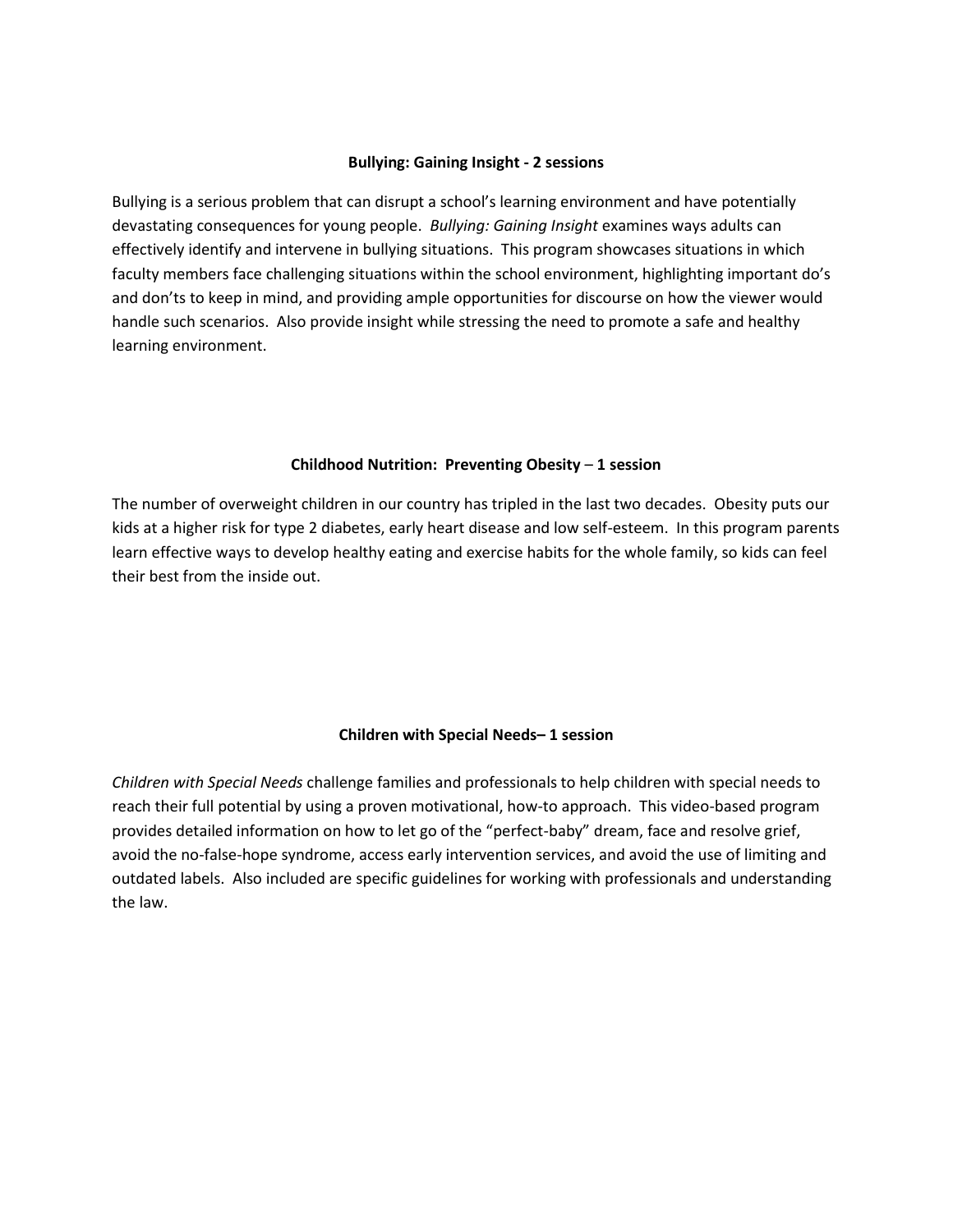#### **Bullying: Gaining Insight - 2 sessions**

Bullying is a serious problem that can disrupt a school's learning environment and have potentially devastating consequences for young people. *Bullying: Gaining Insight* examines ways adults can effectively identify and intervene in bullying situations. This program showcases situations in which faculty members face challenging situations within the school environment, highlighting important do's and don'ts to keep in mind, and providing ample opportunities for discourse on how the viewer would handle such scenarios. Also provide insight while stressing the need to promote a safe and healthy learning environment.

#### **Childhood Nutrition: Preventing Obesity** – **1 session**

The number of overweight children in our country has tripled in the last two decades. Obesity puts our kids at a higher risk for type 2 diabetes, early heart disease and low self-esteem. In this program parents learn effective ways to develop healthy eating and exercise habits for the whole family, so kids can feel their best from the inside out.

# **Children with Special Needs– 1 session**

*Children with Special Needs* challenge families and professionals to help children with special needs to reach their full potential by using a proven motivational, how-to approach. This video-based program provides detailed information on how to let go of the "perfect-baby" dream, face and resolve grief, avoid the no-false-hope syndrome, access early intervention services, and avoid the use of limiting and outdated labels. Also included are specific guidelines for working with professionals and understanding the law.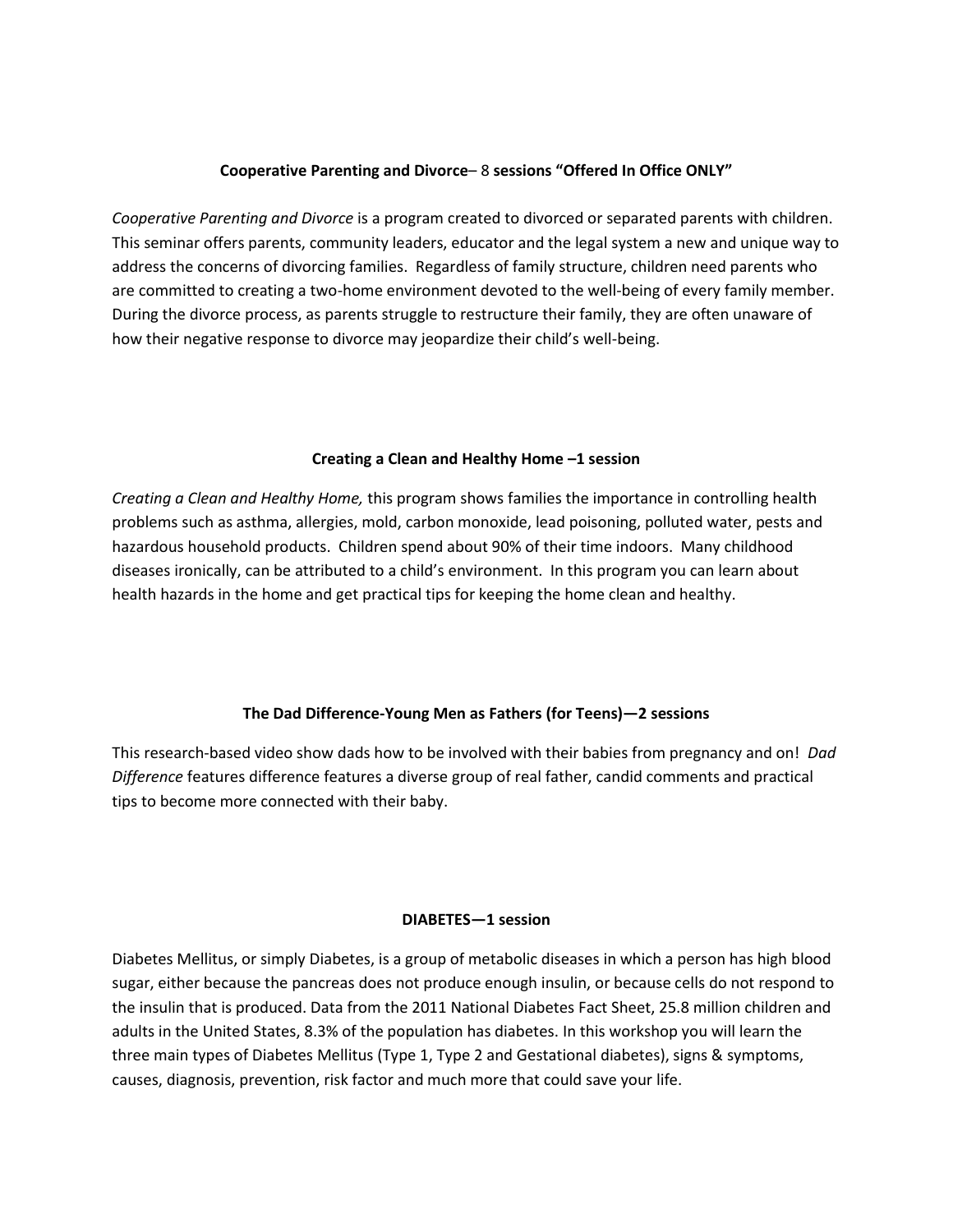# **Cooperative Parenting and Divorce**– 8 **sessions "Offered In Office ONLY"**

*Cooperative Parenting and Divorce* is a program created to divorced or separated parents with children. This seminar offers parents, community leaders, educator and the legal system a new and unique way to address the concerns of divorcing families. Regardless of family structure, children need parents who are committed to creating a two-home environment devoted to the well-being of every family member. During the divorce process, as parents struggle to restructure their family, they are often unaware of how their negative response to divorce may jeopardize their child's well-being.

# **Creating a Clean and Healthy Home –1 session**

*Creating a Clean and Healthy Home,* this program shows families the importance in controlling health problems such as asthma, allergies, mold, carbon monoxide, lead poisoning, polluted water, pests and hazardous household products. Children spend about 90% of their time indoors. Many childhood diseases ironically, can be attributed to a child's environment. In this program you can learn about health hazards in the home and get practical tips for keeping the home clean and healthy.

# **The Dad Difference-Young Men as Fathers (for Teens)—2 sessions**

This research-based video show dads how to be involved with their babies from pregnancy and on! *Dad Difference* features difference features a diverse group of real father, candid comments and practical tips to become more connected with their baby.

# **DIABETES—1 session**

Diabetes Mellitus, or simply Diabetes, is a group of metabolic diseases in which a person has high [blood](http://en.wikipedia.org/wiki/Blood_sugar)  [sugar,](http://en.wikipedia.org/wiki/Blood_sugar) either because th[e pancreas](http://en.wikipedia.org/wiki/Pancreas) does not produce enough [insulin,](http://en.wikipedia.org/wiki/Insulin) or because cells do not respond to the insulin that is produced. Data from the 2011 National Diabetes Fact Sheet, 25.8 million children and adults in the United States, 8.3% of the population has diabetes. In this workshop you will learn the three main types of Diabetes Mellitus (Type 1, Type 2 and Gestational diabetes), signs & symptoms, causes, diagnosis, prevention, risk factor and much more that could save your life.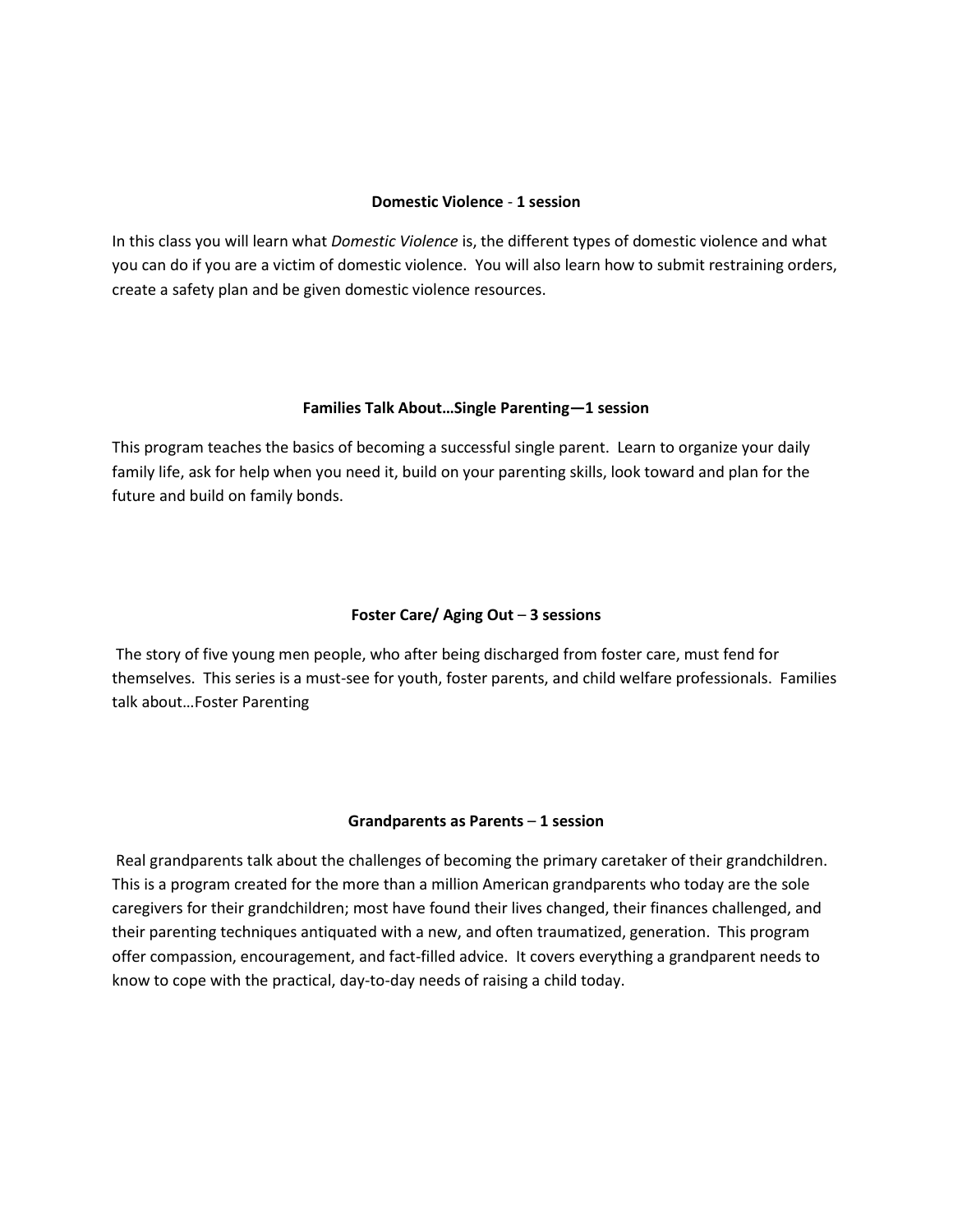#### **Domestic Violence** - **1 session**

In this class you will learn what *Domestic Violence* is, the different types of domestic violence and what you can do if you are a victim of domestic violence. You will also learn how to submit restraining orders, create a safety plan and be given domestic violence resources.

#### **Families Talk About…Single Parenting—1 session**

This program teaches the basics of becoming a successful single parent. Learn to organize your daily family life, ask for help when you need it, build on your parenting skills, look toward and plan for the future and build on family bonds.

# **Foster Care/ Aging Out** – **3 sessions**

The story of five young men people, who after being discharged from foster care, must fend for themselves. This series is a must-see for youth, foster parents, and child welfare professionals. Families talk about…Foster Parenting

# **Grandparents as Parents** – **1 session**

Real grandparents talk about the challenges of becoming the primary caretaker of their grandchildren. This is a program created for the more than a million American grandparents who today are the sole caregivers for their grandchildren; most have found their lives changed, their finances challenged, and their parenting techniques antiquated with a new, and often traumatized, generation. This program offer compassion, encouragement, and fact-filled advice. It covers everything a grandparent needs to know to cope with the practical, day-to-day needs of raising a child today.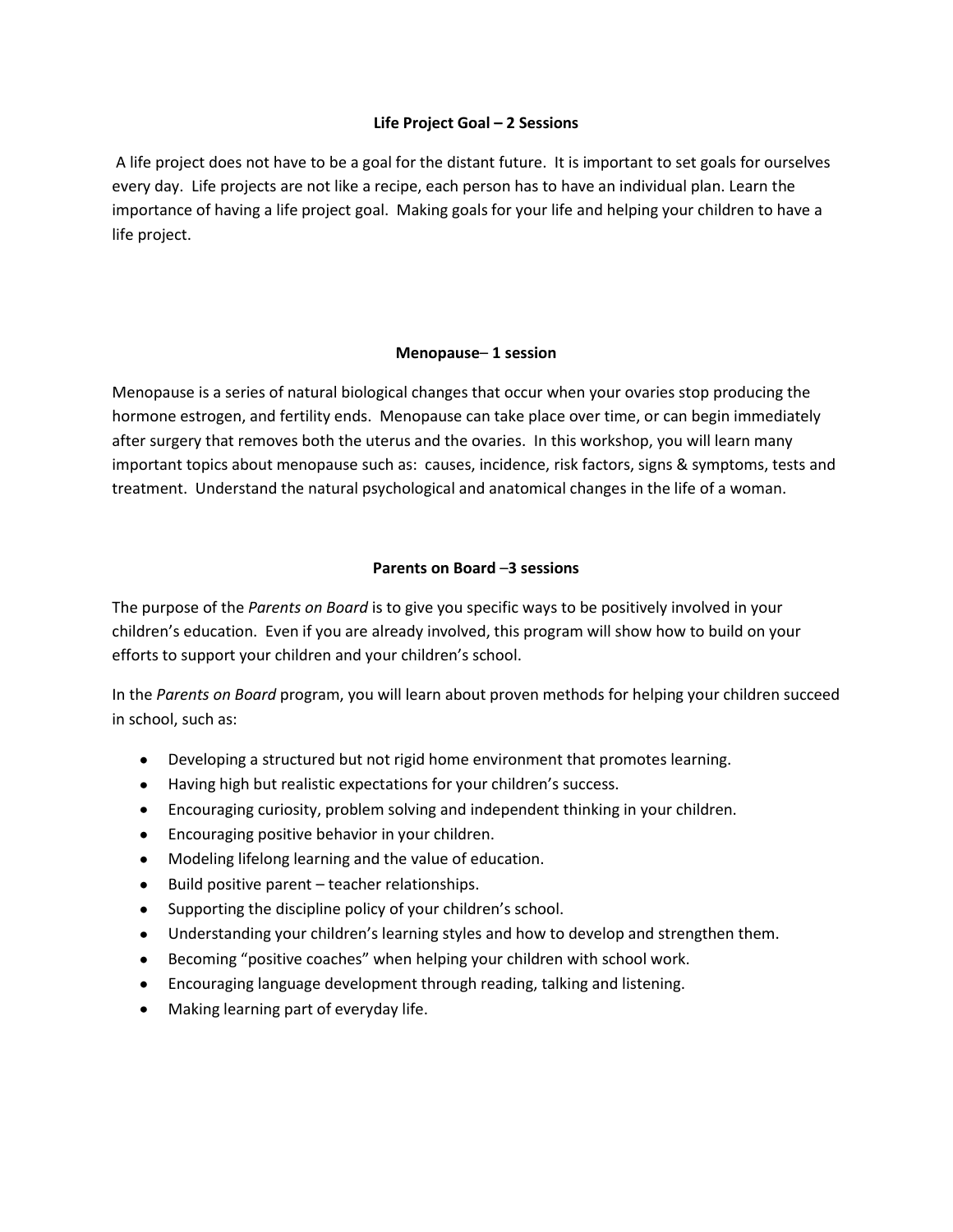# **Life Project Goal – 2 Sessions**

A life project does not have to be a goal for the distant future. It is important to set goals for ourselves every day. Life projects are not like a recipe, each person has to have an individual plan. Learn the importance of having a life project goal. Making goals for your life and helping your children to have a life project.

#### **Menopause**– **1 session**

Menopause is a series of natural biological changes that occur when your ovaries stop producing the hormone estrogen, and fertility ends. Menopause can take place over time, or can begin immediately after surgery that removes both the uterus and the ovaries. In this workshop, you will learn many important topics about menopause such as: causes, incidence, risk factors, signs & symptoms, tests and treatment. Understand the natural psychological and anatomical changes in the life of a woman.

# **Parents on Board** –**3 sessions**

The purpose of the *Parents on Board* is to give you specific ways to be positively involved in your children's education. Even if you are already involved, this program will show how to build on your efforts to support your children and your children's school.

In the *Parents on Board* program, you will learn about proven methods for helping your children succeed in school, such as:

- Developing a structured but not rigid home environment that promotes learning.
- Having high but realistic expectations for your children's success.
- Encouraging curiosity, problem solving and independent thinking in your children.
- Encouraging positive behavior in your children.
- Modeling lifelong learning and the value of education.  $\bullet$
- Build positive parent teacher relationships.  $\bullet$
- Supporting the discipline policy of your children's school.
- Understanding your children's learning styles and how to develop and strengthen them.
- Becoming "positive coaches" when helping your children with school work.  $\bullet$
- Encouraging language development through reading, talking and listening.  $\bullet$
- $\bullet$ Making learning part of everyday life.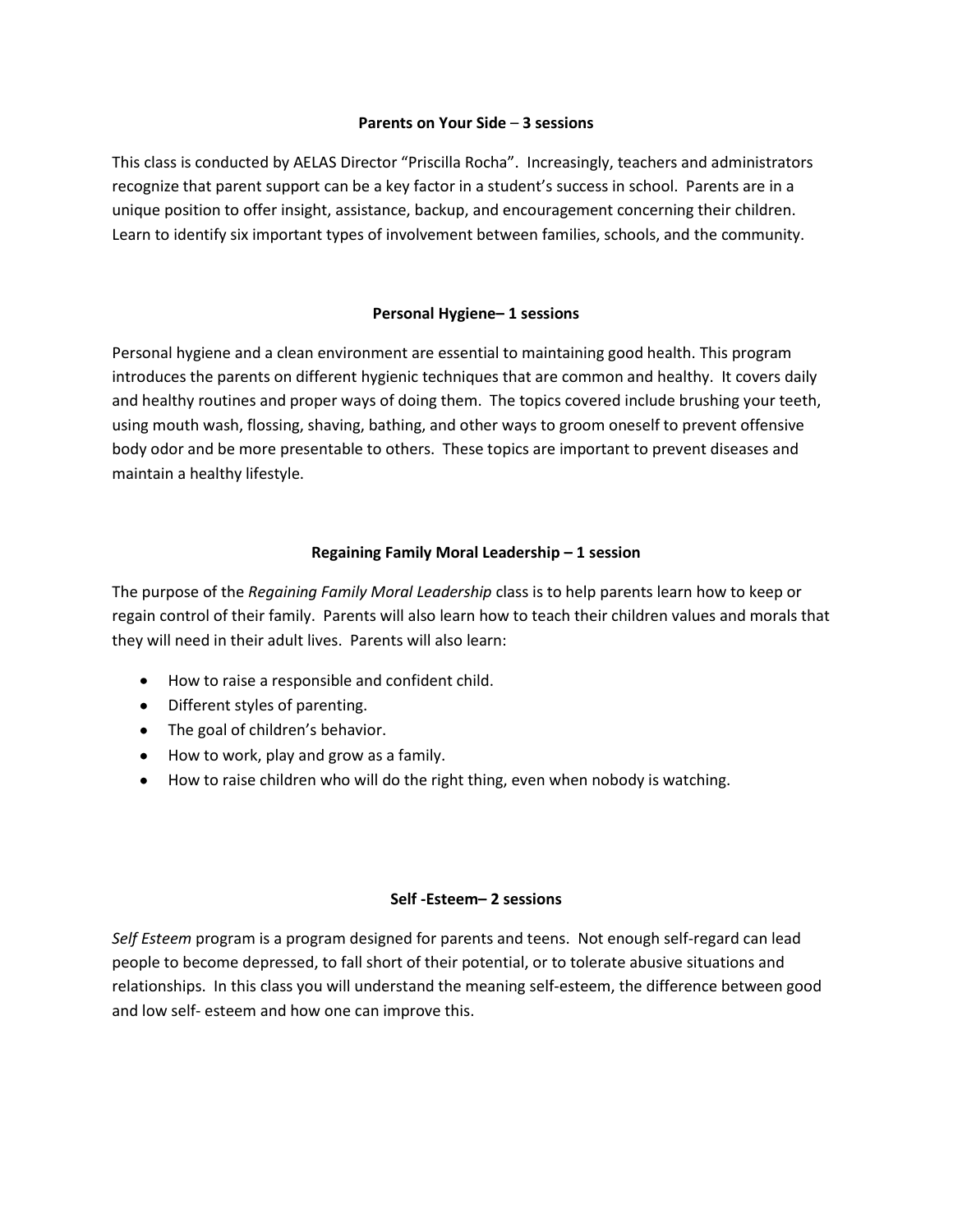#### **Parents on Your Side** – **3 sessions**

This class is conducted by AELAS Director "Priscilla Rocha". Increasingly, teachers and administrators recognize that parent support can be a key factor in a student's success in school. Parents are in a unique position to offer insight, assistance, backup, and encouragement concerning their children. Learn to identify six important types of involvement between families, schools, and the community.

# **Personal Hygiene– 1 sessions**

Personal hygiene and a clean environment are essential to maintaining good health. This program introduces the parents on different hygienic techniques that are common and healthy. It covers daily and healthy routines and proper ways of doing them. The topics covered include brushing your teeth, using mouth wash, flossing, shaving, bathing, and other ways to groom oneself to prevent offensive body odor and be more presentable to others. These topics are important to prevent diseases and maintain a healthy lifestyle.

# **Regaining Family Moral Leadership – 1 session**

The purpose of the *Regaining Family Moral Leadership* class is to help parents learn how to keep or regain control of their family. Parents will also learn how to teach their children values and morals that they will need in their adult lives. Parents will also learn:

- How to raise a responsible and confident child.
- Different styles of parenting.
- The goal of children's behavior.
- How to work, play and grow as a family.
- How to raise children who will do the right thing, even when nobody is watching.

# **Self -Esteem– 2 sessions**

*Self Esteem* program is a program designed for parents and teens. Not enough self-regard can lead people to become depressed, to fall short of their potential, or to tolerate abusive situations and relationships. In this class you will understand the meaning self-esteem, the difference between good and low self- esteem and how one can improve this.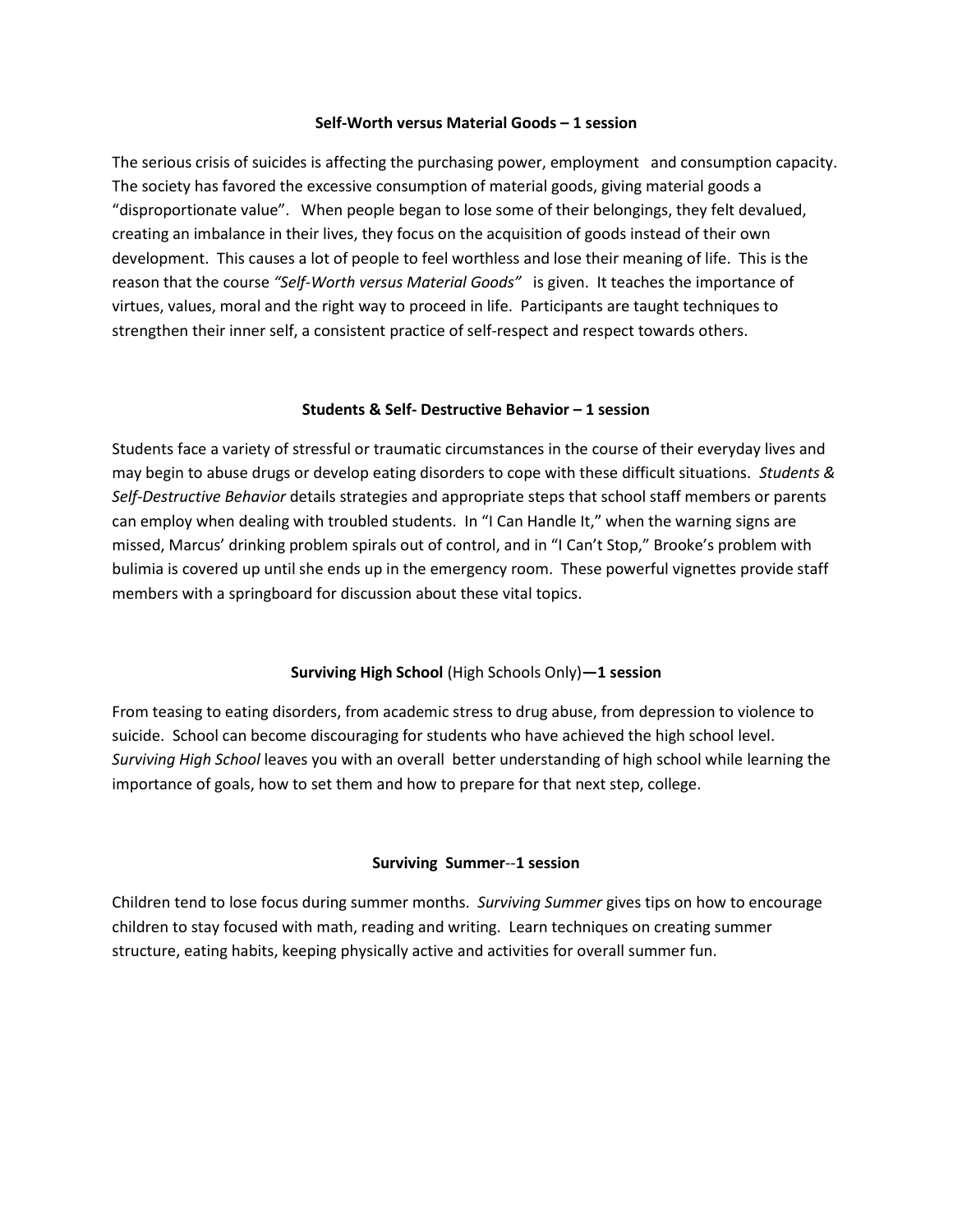#### **Self-Worth versus Material Goods – 1 session**

The serious crisis of suicides is affecting the purchasing power, employment and consumption capacity. The society has favored the excessive consumption of material goods, giving material goods a "disproportionate value". When people began to lose some of their belongings, they felt devalued, creating an imbalance in their lives, they focus on the acquisition of goods instead of their own development. This causes a lot of people to feel worthless and lose their meaning of life. This is the reason that the course *"Self-Worth versus Material Goods"* is given. It teaches the importance of virtues, values, moral and the right way to proceed in life. Participants are taught techniques to strengthen their inner self, a consistent practice of self-respect and respect towards others.

# **Students & Self- Destructive Behavior – 1 session**

Students face a variety of stressful or traumatic circumstances in the course of their everyday lives and may begin to abuse drugs or develop eating disorders to cope with these difficult situations. *Students & Self-Destructive Behavior* details strategies and appropriate steps that school staff members or parents can employ when dealing with troubled students. In "I Can Handle It," when the warning signs are missed, Marcus' drinking problem spirals out of control, and in "I Can't Stop," Brooke's problem with bulimia is covered up until she ends up in the emergency room. These powerful vignettes provide staff members with a springboard for discussion about these vital topics.

# **Surviving High School** (High Schools Only)**—1 session**

From teasing to eating disorders, from academic stress to drug abuse, from depression to violence to suicide. School can become discouraging for students who have achieved the high school level. *Surviving High School* leaves you with an overall better understanding of high school while learning the importance of goals, how to set them and how to prepare for that next step, college.

# **Surviving Summer**--**1 session**

Children tend to lose focus during summer months. *Surviving Summer* gives tips on how to encourage children to stay focused with math, reading and writing. Learn techniques on creating summer structure, eating habits, keeping physically active and activities for overall summer fun.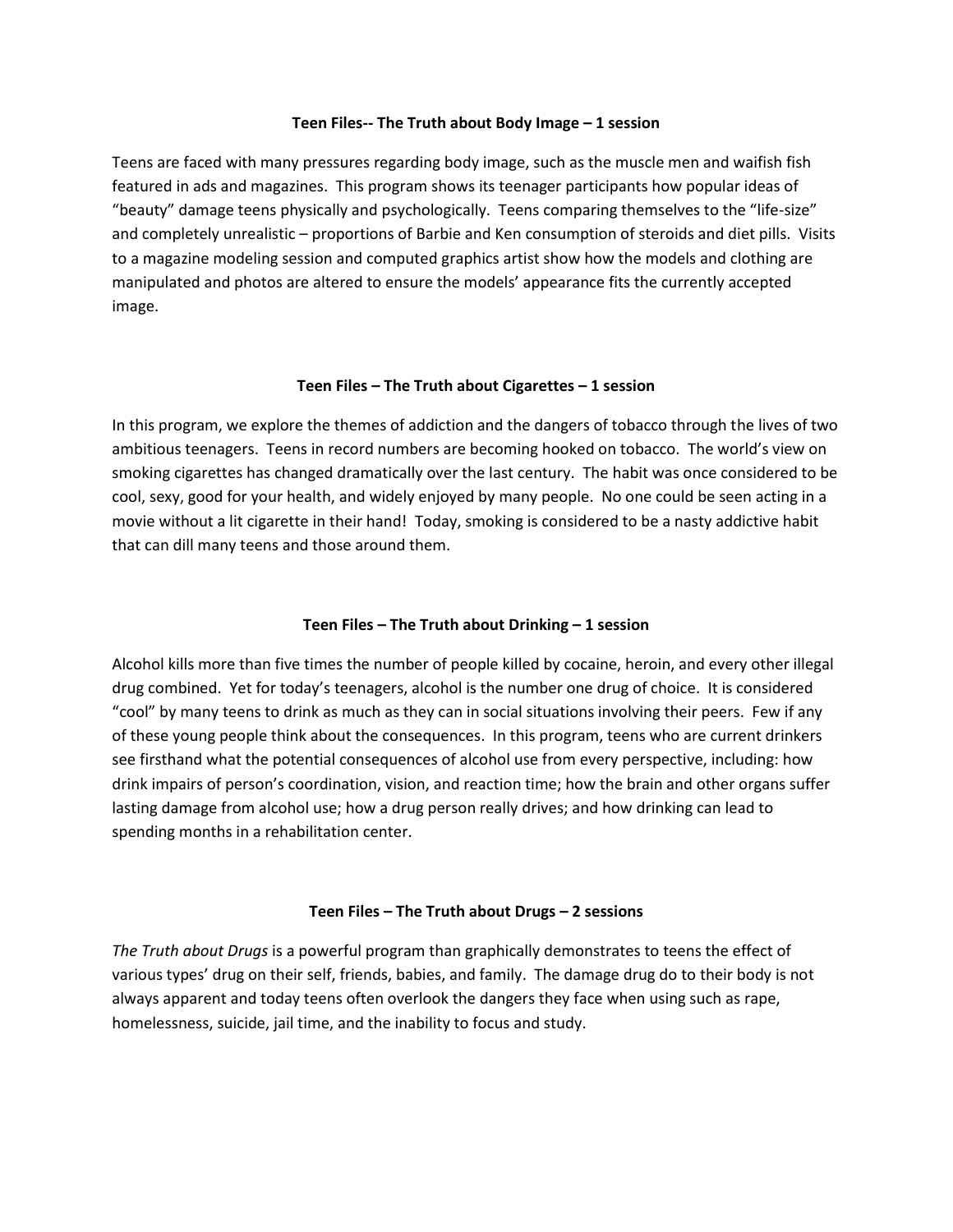#### **Teen Files-- The Truth about Body Image – 1 session**

Teens are faced with many pressures regarding body image, such as the muscle men and waifish fish featured in ads and magazines. This program shows its teenager participants how popular ideas of "beauty" damage teens physically and psychologically. Teens comparing themselves to the "life-size" and completely unrealistic – proportions of Barbie and Ken consumption of steroids and diet pills. Visits to a magazine modeling session and computed graphics artist show how the models and clothing are manipulated and photos are altered to ensure the models' appearance fits the currently accepted image.

# **Teen Files – The Truth about Cigarettes – 1 session**

In this program, we explore the themes of addiction and the dangers of tobacco through the lives of two ambitious teenagers. Teens in record numbers are becoming hooked on tobacco. The world's view on smoking cigarettes has changed dramatically over the last century. The habit was once considered to be cool, sexy, good for your health, and widely enjoyed by many people. No one could be seen acting in a movie without a lit cigarette in their hand! Today, smoking is considered to be a nasty addictive habit that can dill many teens and those around them.

# **Teen Files – The Truth about Drinking – 1 session**

Alcohol kills more than five times the number of people killed by cocaine, heroin, and every other illegal drug combined. Yet for today's teenagers, alcohol is the number one drug of choice. It is considered "cool" by many teens to drink as much as they can in social situations involving their peers. Few if any of these young people think about the consequences. In this program, teens who are current drinkers see firsthand what the potential consequences of alcohol use from every perspective, including: how drink impairs of person's coordination, vision, and reaction time; how the brain and other organs suffer lasting damage from alcohol use; how a drug person really drives; and how drinking can lead to spending months in a rehabilitation center.

# **Teen Files – The Truth about Drugs – 2 sessions**

*The Truth about Drugs* is a powerful program than graphically demonstrates to teens the effect of various types' drug on their self, friends, babies, and family. The damage drug do to their body is not always apparent and today teens often overlook the dangers they face when using such as rape, homelessness, suicide, jail time, and the inability to focus and study.